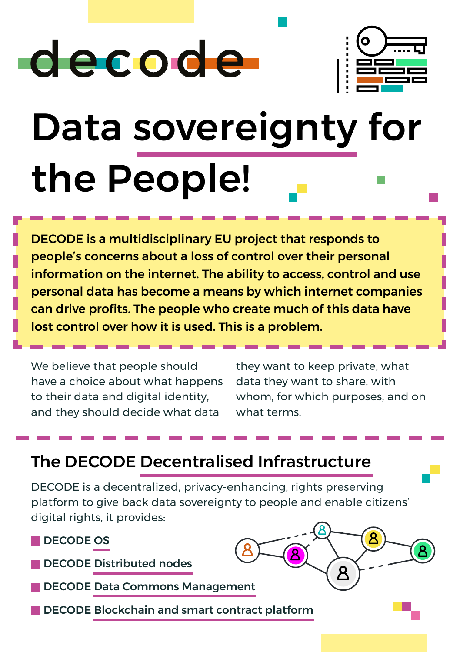# decode



# Data sovereignty for the People!

DECODE is a multidisciplinary EU project that responds to people's concerns about a loss of control over their personal information on the internet. The ability to access, control and use personal data has become a means by which internet companies can drive profits. The people who create much of this data have lost control over how it is used. This is a problem.

We believe that people should have a choice about what happens to their data and digital identity, and they should decide what data

they want to keep private, what data they want to share, with whom, for which purposes, and on what terms.

## The DECODE Decentralised Infrastructure

DECODE is a decentralized, privacy-enhancing, rights preserving platform to give back data sovereignty to people and enable citizens' digital rights, it provides:

**DECODE OS** 

DECODE Distributed nodes

DECODE Data Commons Management

DECODE Blockchain and smart contract platform

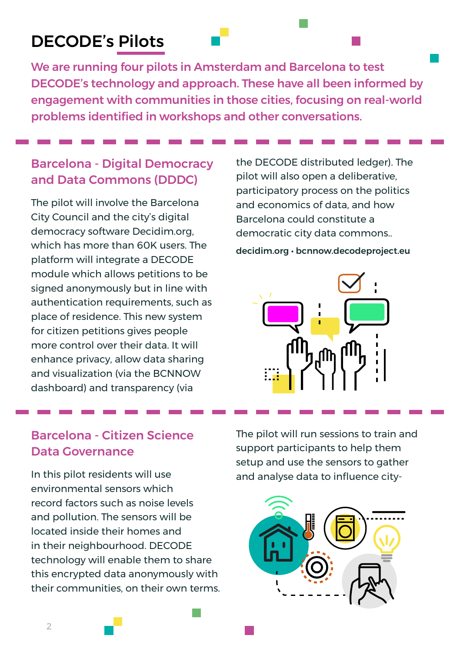### DECODE's Pilots

We are running four pilots in Amsterdam and Barcelona to test DECODE's technology and approach. These have all been informed by engagement with communities in those cities, focusing on real-world problems identified in workshops and other conversations.

#### Barcelona - Digital Democracy and Data Commons (DDDC)

The pilot will involve the Barcelona City Council and the city's digital democracy software Decidim.org, which has more than 60K users. The platform will integrate a DECODE module which allows petitions to be signed anonymously but in line with authentication requirements, such as place of residence. This new system for citizen petitions gives people more control over their data. It will enhance privacy, allow data sharing and visualization (via the BCNNOW dashboard) and transparency (via

the DECODE distributed ledger). The pilot will also open a deliberative, participatory process on the politics and economics of data, and how Barcelona could constitute a democratic city data commons..

decidim.org • bcnnow.decodeproject.eu



#### Barcelona - Citizen Science Data Governance

In this pilot residents will use environmental sensors which record factors such as noise levels and pollution. The sensors will be located inside their homes and in their neighbourhood. DECODE technology will enable them to share this encrypted data anonymously with their communities, on their own terms.

The pilot will run sessions to train and support participants to help them setup and use the sensors to gather and analyse data to influence city-

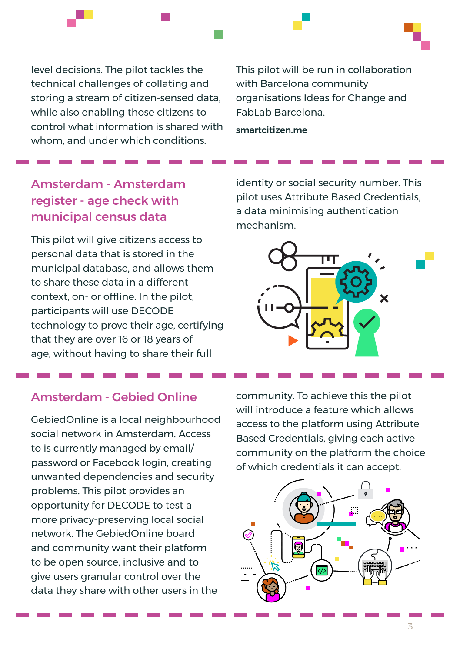level decisions. The pilot tackles the technical challenges of collating and storing a stream of citizen-sensed data, while also enabling those citizens to control what information is shared with whom, and under which conditions.

This pilot will be run in collaboration with Barcelona community organisations Ideas for Change and FabLab Barcelona.

smartcitizen.me

#### Amsterdam - Amsterdam register - age check with municipal census data

This pilot will give citizens access to personal data that is stored in the municipal database, and allows them to share these data in a different context, on- or offline. In the pilot, participants will use DECODE technology to prove their age, certifying that they are over 16 or 18 years of age, without having to share their full

identity or social security number. This pilot uses Attribute Based Credentials, a data minimising authentication mechanism.



#### Amsterdam - Gebied Online

GebiedOnline is a local neighbourhood social network in Amsterdam. Access to is currently managed by email/ password or Facebook login, creating unwanted dependencies and security problems. This pilot provides an opportunity for DECODE to test a more privacy-preserving local social network. The GebiedOnline board and community want their platform to be open source, inclusive and to give users granular control over the data they share with other users in the

community. To achieve this the pilot will introduce a feature which allows access to the platform using Attribute Based Credentials, giving each active community on the platform the choice of which credentials it can accept.